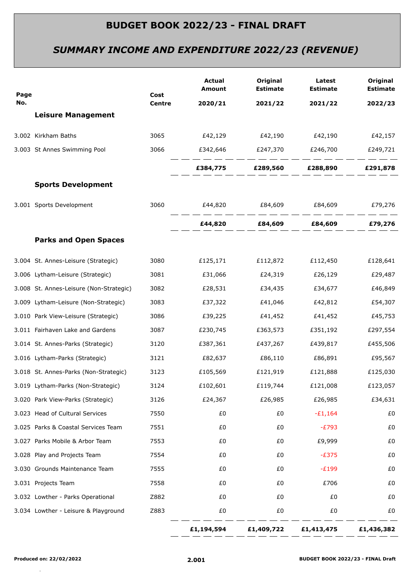# *SUMMARY INCOME AND EXPENDITURE 2022/23 (REVENUE)*

| No.<br><b>Centre</b><br>2020/21<br>2021/22<br>2021/22<br><b>Leisure Management</b><br>£42,129 £42,190<br>3.002 Kirkham Baths<br>3065<br>£42,190<br>3.003 St Annes Swimming Pool<br>3066<br>£342,646<br>£247,370 £246,700<br>£249,721<br>£384,775 £289,560 £288,890 £291,878<br><b>Sports Development</b><br>3.001 Sports Development<br>3060<br>£44,820   £84,609   £84,609   £79,276<br>£44,820 £84,609 £84,609<br><b>Parks and Open Spaces</b><br>3.004 St. Annes-Leisure (Strategic)<br>3080<br>£125,171<br>£112,872<br>£128,641<br>£112,450<br>3.006 Lytham-Leisure (Strategic)<br>3081<br>£31,066<br>£24,319<br>£26,129<br>3082<br>3.008 St. Annes-Leisure (Non-Strategic)<br>£28,531<br>£34,435<br>£34,677<br>3.009 Lytham-Leisure (Non-Strategic)<br>3083<br>£37,322<br>£41,046<br>£42,812<br>3.010 Park View-Leisure (Strategic)<br>3086<br>£39,225<br>£41,452<br>£41,452<br>3.011 Fairhaven Lake and Gardens<br>3087<br>£230,745<br>£363,573<br>£351,192<br>3.014 St. Annes-Parks (Strategic)<br>3120<br>£387,361<br>£437,267<br>£439,817<br>£455,506<br>3.016 Lytham-Parks (Strategic)<br>3121<br>£82,637<br>£86,110<br>£86,891<br>3123<br>£121,888<br>3.018 St. Annes-Parks (Non-Strategic)<br>£105,569<br>£121,919<br>3.019 Lytham-Parks (Non-Strategic)<br>3124<br>£102,601<br>£119,744<br>£121,008<br>£26,985<br>3.020 Park View-Parks (Strategic)<br>3126<br>£24,367<br>£26,985<br>3.023 Head of Cultural Services<br>7550<br>£0<br>$-£1,164$<br>£0<br>3.025 Parks & Coastal Services Team<br>7551<br>£0<br>£0<br>$-E793$<br>3.027 Parks Mobile & Arbor Team<br>7553<br>£0<br>£9,999<br>£0<br>7554<br>£0<br>£0<br>$-E375$<br>3.028 Play and Projects Team<br>3.030 Grounds Maintenance Team<br>7555<br>£0<br>$-E199$<br>£0<br>3.031 Projects Team<br>7558<br>£0<br>£0<br>£706<br>Z882<br>£0<br>£0<br>£0<br>3.032 Lowther - Parks Operational<br>3.034 Lowther - Leisure & Playground<br>Z883<br>£0<br>£0<br>£0 | Page | Cost | Actual<br>Amount | Original<br><b>Estimate</b> | Latest<br><b>Estimate</b> | Original<br><b>Estimate</b> |
|-------------------------------------------------------------------------------------------------------------------------------------------------------------------------------------------------------------------------------------------------------------------------------------------------------------------------------------------------------------------------------------------------------------------------------------------------------------------------------------------------------------------------------------------------------------------------------------------------------------------------------------------------------------------------------------------------------------------------------------------------------------------------------------------------------------------------------------------------------------------------------------------------------------------------------------------------------------------------------------------------------------------------------------------------------------------------------------------------------------------------------------------------------------------------------------------------------------------------------------------------------------------------------------------------------------------------------------------------------------------------------------------------------------------------------------------------------------------------------------------------------------------------------------------------------------------------------------------------------------------------------------------------------------------------------------------------------------------------------------------------------------------------------------------------------------------------------------------------------------------------------------------------------------------------------|------|------|------------------|-----------------------------|---------------------------|-----------------------------|
|                                                                                                                                                                                                                                                                                                                                                                                                                                                                                                                                                                                                                                                                                                                                                                                                                                                                                                                                                                                                                                                                                                                                                                                                                                                                                                                                                                                                                                                                                                                                                                                                                                                                                                                                                                                                                                                                                                                               |      |      |                  |                             |                           | 2022/23                     |
|                                                                                                                                                                                                                                                                                                                                                                                                                                                                                                                                                                                                                                                                                                                                                                                                                                                                                                                                                                                                                                                                                                                                                                                                                                                                                                                                                                                                                                                                                                                                                                                                                                                                                                                                                                                                                                                                                                                               |      |      |                  |                             |                           |                             |
|                                                                                                                                                                                                                                                                                                                                                                                                                                                                                                                                                                                                                                                                                                                                                                                                                                                                                                                                                                                                                                                                                                                                                                                                                                                                                                                                                                                                                                                                                                                                                                                                                                                                                                                                                                                                                                                                                                                               |      |      |                  |                             |                           | £42,157                     |
|                                                                                                                                                                                                                                                                                                                                                                                                                                                                                                                                                                                                                                                                                                                                                                                                                                                                                                                                                                                                                                                                                                                                                                                                                                                                                                                                                                                                                                                                                                                                                                                                                                                                                                                                                                                                                                                                                                                               |      |      |                  |                             |                           |                             |
|                                                                                                                                                                                                                                                                                                                                                                                                                                                                                                                                                                                                                                                                                                                                                                                                                                                                                                                                                                                                                                                                                                                                                                                                                                                                                                                                                                                                                                                                                                                                                                                                                                                                                                                                                                                                                                                                                                                               |      |      |                  |                             |                           |                             |
|                                                                                                                                                                                                                                                                                                                                                                                                                                                                                                                                                                                                                                                                                                                                                                                                                                                                                                                                                                                                                                                                                                                                                                                                                                                                                                                                                                                                                                                                                                                                                                                                                                                                                                                                                                                                                                                                                                                               |      |      |                  |                             |                           |                             |
|                                                                                                                                                                                                                                                                                                                                                                                                                                                                                                                                                                                                                                                                                                                                                                                                                                                                                                                                                                                                                                                                                                                                                                                                                                                                                                                                                                                                                                                                                                                                                                                                                                                                                                                                                                                                                                                                                                                               |      |      |                  |                             |                           |                             |
|                                                                                                                                                                                                                                                                                                                                                                                                                                                                                                                                                                                                                                                                                                                                                                                                                                                                                                                                                                                                                                                                                                                                                                                                                                                                                                                                                                                                                                                                                                                                                                                                                                                                                                                                                                                                                                                                                                                               |      |      |                  |                             |                           | £79,276                     |
|                                                                                                                                                                                                                                                                                                                                                                                                                                                                                                                                                                                                                                                                                                                                                                                                                                                                                                                                                                                                                                                                                                                                                                                                                                                                                                                                                                                                                                                                                                                                                                                                                                                                                                                                                                                                                                                                                                                               |      |      |                  |                             |                           |                             |
|                                                                                                                                                                                                                                                                                                                                                                                                                                                                                                                                                                                                                                                                                                                                                                                                                                                                                                                                                                                                                                                                                                                                                                                                                                                                                                                                                                                                                                                                                                                                                                                                                                                                                                                                                                                                                                                                                                                               |      |      |                  |                             |                           |                             |
|                                                                                                                                                                                                                                                                                                                                                                                                                                                                                                                                                                                                                                                                                                                                                                                                                                                                                                                                                                                                                                                                                                                                                                                                                                                                                                                                                                                                                                                                                                                                                                                                                                                                                                                                                                                                                                                                                                                               |      |      |                  |                             |                           | £29,487                     |
|                                                                                                                                                                                                                                                                                                                                                                                                                                                                                                                                                                                                                                                                                                                                                                                                                                                                                                                                                                                                                                                                                                                                                                                                                                                                                                                                                                                                                                                                                                                                                                                                                                                                                                                                                                                                                                                                                                                               |      |      |                  |                             |                           | £46,849                     |
|                                                                                                                                                                                                                                                                                                                                                                                                                                                                                                                                                                                                                                                                                                                                                                                                                                                                                                                                                                                                                                                                                                                                                                                                                                                                                                                                                                                                                                                                                                                                                                                                                                                                                                                                                                                                                                                                                                                               |      |      |                  |                             |                           | £54,307                     |
|                                                                                                                                                                                                                                                                                                                                                                                                                                                                                                                                                                                                                                                                                                                                                                                                                                                                                                                                                                                                                                                                                                                                                                                                                                                                                                                                                                                                                                                                                                                                                                                                                                                                                                                                                                                                                                                                                                                               |      |      |                  |                             |                           | £45,753                     |
|                                                                                                                                                                                                                                                                                                                                                                                                                                                                                                                                                                                                                                                                                                                                                                                                                                                                                                                                                                                                                                                                                                                                                                                                                                                                                                                                                                                                                                                                                                                                                                                                                                                                                                                                                                                                                                                                                                                               |      |      |                  |                             |                           | £297,554                    |
|                                                                                                                                                                                                                                                                                                                                                                                                                                                                                                                                                                                                                                                                                                                                                                                                                                                                                                                                                                                                                                                                                                                                                                                                                                                                                                                                                                                                                                                                                                                                                                                                                                                                                                                                                                                                                                                                                                                               |      |      |                  |                             |                           |                             |
|                                                                                                                                                                                                                                                                                                                                                                                                                                                                                                                                                                                                                                                                                                                                                                                                                                                                                                                                                                                                                                                                                                                                                                                                                                                                                                                                                                                                                                                                                                                                                                                                                                                                                                                                                                                                                                                                                                                               |      |      |                  |                             |                           | £95,567                     |
|                                                                                                                                                                                                                                                                                                                                                                                                                                                                                                                                                                                                                                                                                                                                                                                                                                                                                                                                                                                                                                                                                                                                                                                                                                                                                                                                                                                                                                                                                                                                                                                                                                                                                                                                                                                                                                                                                                                               |      |      |                  |                             |                           | £125,030                    |
|                                                                                                                                                                                                                                                                                                                                                                                                                                                                                                                                                                                                                                                                                                                                                                                                                                                                                                                                                                                                                                                                                                                                                                                                                                                                                                                                                                                                                                                                                                                                                                                                                                                                                                                                                                                                                                                                                                                               |      |      |                  |                             |                           | £123,057                    |
|                                                                                                                                                                                                                                                                                                                                                                                                                                                                                                                                                                                                                                                                                                                                                                                                                                                                                                                                                                                                                                                                                                                                                                                                                                                                                                                                                                                                                                                                                                                                                                                                                                                                                                                                                                                                                                                                                                                               |      |      |                  |                             |                           | £34,631                     |
|                                                                                                                                                                                                                                                                                                                                                                                                                                                                                                                                                                                                                                                                                                                                                                                                                                                                                                                                                                                                                                                                                                                                                                                                                                                                                                                                                                                                                                                                                                                                                                                                                                                                                                                                                                                                                                                                                                                               |      |      |                  |                             |                           | £0                          |
|                                                                                                                                                                                                                                                                                                                                                                                                                                                                                                                                                                                                                                                                                                                                                                                                                                                                                                                                                                                                                                                                                                                                                                                                                                                                                                                                                                                                                                                                                                                                                                                                                                                                                                                                                                                                                                                                                                                               |      |      |                  |                             |                           | £0                          |
|                                                                                                                                                                                                                                                                                                                                                                                                                                                                                                                                                                                                                                                                                                                                                                                                                                                                                                                                                                                                                                                                                                                                                                                                                                                                                                                                                                                                                                                                                                                                                                                                                                                                                                                                                                                                                                                                                                                               |      |      |                  |                             |                           | £0                          |
|                                                                                                                                                                                                                                                                                                                                                                                                                                                                                                                                                                                                                                                                                                                                                                                                                                                                                                                                                                                                                                                                                                                                                                                                                                                                                                                                                                                                                                                                                                                                                                                                                                                                                                                                                                                                                                                                                                                               |      |      |                  |                             |                           | £0                          |
|                                                                                                                                                                                                                                                                                                                                                                                                                                                                                                                                                                                                                                                                                                                                                                                                                                                                                                                                                                                                                                                                                                                                                                                                                                                                                                                                                                                                                                                                                                                                                                                                                                                                                                                                                                                                                                                                                                                               |      |      |                  |                             |                           | £0                          |
|                                                                                                                                                                                                                                                                                                                                                                                                                                                                                                                                                                                                                                                                                                                                                                                                                                                                                                                                                                                                                                                                                                                                                                                                                                                                                                                                                                                                                                                                                                                                                                                                                                                                                                                                                                                                                                                                                                                               |      |      |                  |                             |                           | £0                          |
|                                                                                                                                                                                                                                                                                                                                                                                                                                                                                                                                                                                                                                                                                                                                                                                                                                                                                                                                                                                                                                                                                                                                                                                                                                                                                                                                                                                                                                                                                                                                                                                                                                                                                                                                                                                                                                                                                                                               |      |      |                  |                             |                           | £0                          |
|                                                                                                                                                                                                                                                                                                                                                                                                                                                                                                                                                                                                                                                                                                                                                                                                                                                                                                                                                                                                                                                                                                                                                                                                                                                                                                                                                                                                                                                                                                                                                                                                                                                                                                                                                                                                                                                                                                                               |      |      |                  |                             |                           | £0                          |
| £1,194,594<br>£1,409,722<br>£1,413,475                                                                                                                                                                                                                                                                                                                                                                                                                                                                                                                                                                                                                                                                                                                                                                                                                                                                                                                                                                                                                                                                                                                                                                                                                                                                                                                                                                                                                                                                                                                                                                                                                                                                                                                                                                                                                                                                                        |      |      |                  |                             |                           | £1,436,382                  |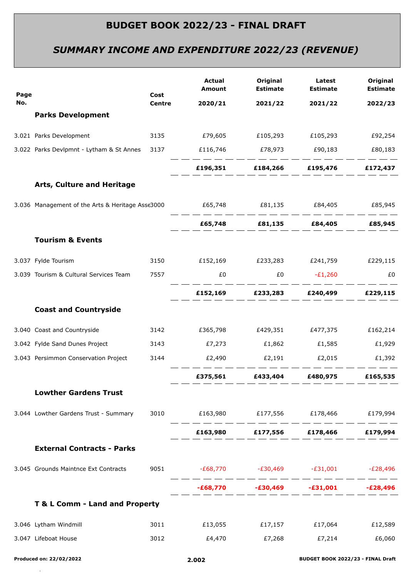# *SUMMARY INCOME AND EXPENDITURE 2022/23 (REVENUE)*

| Page |                                                                        | Cost          | <b>Actual</b><br><b>Amount</b>               | Original<br><b>Estimate</b> | Latest<br><b>Estimate</b>           | Original<br><b>Estimate</b> |
|------|------------------------------------------------------------------------|---------------|----------------------------------------------|-----------------------------|-------------------------------------|-----------------------------|
| No.  |                                                                        | <b>Centre</b> | 2020/21                                      | 2021/22                     | 2021/22                             | 2022/23                     |
|      | <b>Parks Development</b>                                               |               |                                              |                             |                                     |                             |
|      | 3.021 Parks Development                                                |               |                                              |                             |                                     | £92,254                     |
|      | 3.022 Parks Devlpmnt - Lytham & St Annes 3137 E116,746 E78,973 E90,183 |               |                                              |                             |                                     | £80,183                     |
|      |                                                                        |               |                                              |                             | £196,351 £184,266 £195,476 £172,437 |                             |
|      | Arts, Culture and Heritage                                             |               |                                              |                             |                                     |                             |
|      | 3.036 Management of the Arts & Heritage Asse3000                       |               | £65,748   £81,135   £84,405   £85,945        |                             |                                     |                             |
|      |                                                                        |               |                                              |                             | £65,748 £81,135 £84,405 £85,945     |                             |
|      | <b>Tourism &amp; Events</b>                                            |               |                                              |                             |                                     |                             |
|      | 3.037 Fylde Tourism                                                    |               | 3150 £152,169 £233,283 £241,759 £229,115     |                             |                                     |                             |
|      | 3.039 Tourism & Cultural Services Team                                 | 7557          | £0                                           | $£0$ $-E1,260$              |                                     | £0                          |
|      |                                                                        |               |                                              |                             | £152,169 £233,283 £240,499 £229,115 |                             |
|      | <b>Coast and Countryside</b>                                           |               |                                              |                             |                                     |                             |
|      | 3.040 Coast and Countryside                                            |               | 3142 £365,798 £429,351 £477,375 £162,214     |                             |                                     |                             |
|      | 3.042 Fylde Sand Dunes Project                                         |               |                                              |                             |                                     | £1,929                      |
|      | 3.043 Persimmon Conservation Project                                   | 3144          | $E2,490$ $E2,191$ $E2,015$ $E1,392$          |                             |                                     |                             |
|      |                                                                        |               | £375,561                                     | £433,404                    | £480,975                            | £165,535                    |
|      | <b>Lowther Gardens Trust</b>                                           |               |                                              |                             |                                     |                             |
|      | 3.044 Lowther Gardens Trust - Summary                                  |               | 3010 £163,980 £177,556 £178,466 £179,994     |                             |                                     |                             |
|      |                                                                        |               |                                              |                             | £163,980 £177,556 £178,466 £179,994 |                             |
|      | <b>External Contracts - Parks</b>                                      |               |                                              |                             |                                     |                             |
|      | 3.045 Grounds Maintnce Ext Contracts                                   |               | 9051 - E68,770 - E30,469 - E31,001 - E28,496 |                             |                                     |                             |
|      |                                                                        |               |                                              |                             | -£68,770 -£30,469 -£31,001 -£28,496 |                             |
|      | T & L Comm - Land and Property                                         |               |                                              |                             |                                     |                             |
|      | 3.046 Lytham Windmill                                                  | 3011          | $£13,055$ $£17,157$ $£17,064$                |                             |                                     | £12,589                     |
|      | 3.047 Lifeboat House                                                   | 3012          | £4,470                                       | £7,268                      | £7,214                              | £6,060                      |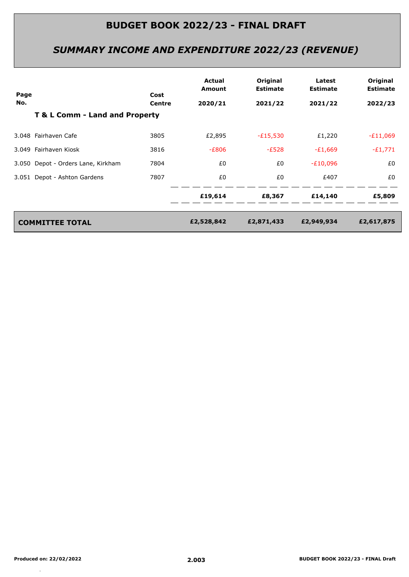# *SUMMARY INCOME AND EXPENDITURE 2022/23 (REVENUE)*

| Page |                                    | Cost   | Actual<br>Amount | Original<br><b>Estimate</b> | Latest<br><b>Estimate</b> | Original<br><b>Estimate</b> |
|------|------------------------------------|--------|------------------|-----------------------------|---------------------------|-----------------------------|
| No.  |                                    | Centre | 2020/21          | 2021/22                     | 2021/22                   | 2022/23                     |
|      | T & L Comm - Land and Property     |        |                  |                             |                           |                             |
|      | 3.048 Fairhaven Cafe               | 3805   | £2,895           | $-E15,530$                  | £1,220                    | $-E11,069$                  |
|      | 3.049 Fairhaven Kiosk              | 3816   | $-E806$          | $-E528$                     | $-E1,669$                 | $-E1,771$                   |
|      | 3.050 Depot - Orders Lane, Kirkham | 7804   | £0               | £0                          | $-E10,096$                | £0                          |
|      | 3.051 Depot - Ashton Gardens       | 7807   | £0               | £0                          | £407                      | £0                          |
|      |                                    |        | £19,614          | £8,367                      | £14,140                   | £5,809                      |
|      | <b>COMMITTEE TOTAL</b>             |        | £2,528,842       | £2,871,433                  | £2,949,934                | £2,617,875                  |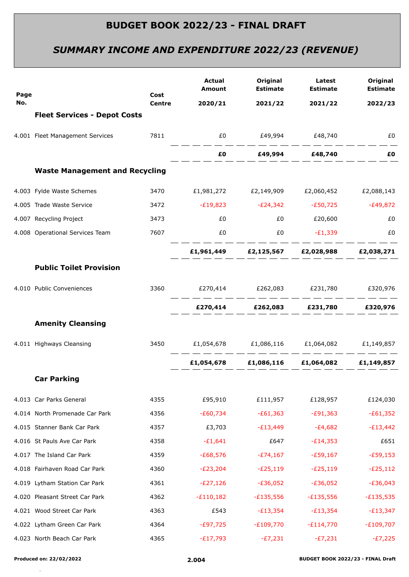# *SUMMARY INCOME AND EXPENDITURE 2022/23 (REVENUE)*

| Page |                                       | Cost          | <b>Actual</b><br><b>Amount</b>                   | Original<br><b>Estimate</b>                       | Latest<br><b>Estimate</b> | Original<br><b>Estimate</b> |
|------|---------------------------------------|---------------|--------------------------------------------------|---------------------------------------------------|---------------------------|-----------------------------|
| No.  |                                       | <b>Centre</b> | 2020/21                                          | 2021/22                                           | 2021/22                   | 2022/23                     |
|      | <b>Fleet Services - Depot Costs</b>   |               |                                                  |                                                   |                           |                             |
|      | 4.001 Fleet Management Services       |               | 7811 60 £49,994 £48,740                          |                                                   |                           | £0                          |
|      |                                       |               |                                                  | $E0$ $E49,994$ $E48,740$                          |                           | £Ο                          |
|      | <b>Waste Management and Recycling</b> |               |                                                  |                                                   |                           |                             |
|      | 4.003 Fylde Waste Schemes             |               | 3470 £1,981,272 £2,149,909 £2,060,452 £2,088,143 |                                                   |                           |                             |
|      | 4.005 Trade Waste Service             |               | 3472 - £19,823 - £24,342 - £50,725 - £49,872     |                                                   |                           |                             |
|      | 4.007 Recycling Project               | 3473          | £0                                               | £0                                                | £20,600                   | £0                          |
|      | 4.008 Operational Services Team       | 7607          | £0                                               | EO <sub>1</sub>                                   | $-E1,339$                 | £0                          |
|      |                                       |               |                                                  | £1,961,449   £2,125,567   £2,028,988   £2,038,271 |                           |                             |
|      | <b>Public Toilet Provision</b>        |               |                                                  |                                                   |                           |                             |
|      | 4.010 Public Conveniences             |               | 3360 £270,414 £262,083 £231,780 £320,976         |                                                   |                           |                             |
|      |                                       |               |                                                  | £270,414 £262,083 £231,780 £320,976               |                           |                             |
|      | <b>Amenity Cleansing</b>              |               |                                                  |                                                   |                           |                             |
|      | 4.011 Highways Cleansing              |               | 3450 £1,054,678 £1,086,116 £1,064,082 £1,149,857 |                                                   |                           |                             |
|      |                                       |               |                                                  | £1,054,678 £1,086,116 £1,064,082 £1,149,857       |                           |                             |
|      | <b>Car Parking</b>                    |               |                                                  |                                                   |                           |                             |
|      | 4.013 Car Parks General               | 4355          | £95,910                                          | £111,957                                          | £128,957                  | £124,030                    |
|      | 4.014 North Promenade Car Park        | 4356          | $-£60,734$                                       | $-£61,363$                                        | $-E91,363$                | $-£61,352$                  |
|      | 4.015 Stanner Bank Car Park           | 4357          | £3,703                                           | $-E13,449$                                        | $-E4,682$                 | $-E13,442$                  |
|      | 4.016 St Pauls Ave Car Park           | 4358          | $-£1,641$                                        | £647                                              | $-E14,353$                | £651                        |
|      | 4.017 The Island Car Park             | 4359          | $-£68,576$                                       | $-E74,167$                                        | $-E59,167$                | $-E59,153$                  |
|      | 4.018 Fairhaven Road Car Park         | 4360          | $-E23,204$                                       | $-E25,119$                                        | $-E25,119$                | $-E25,112$                  |
|      | 4.019 Lytham Station Car Park         | 4361          | $-E27,126$                                       | $-E36,052$                                        | $-E36,052$                | $-E36,043$                  |
|      | 4.020 Pleasant Street Car Park        | 4362          | $-E110,182$                                      | $-£135,556$                                       | $-£135,556$               | $-£135,535$                 |
|      | 4.021 Wood Street Car Park            | 4363          | £543                                             | $-E13,354$                                        | $-E13,354$                | $-E13,347$                  |
|      | 4.022 Lytham Green Car Park           | 4364          | $-E97,725$                                       | $-E109,770$                                       | $-E114,770$               | $-E109,707$                 |
|      | 4.023 North Beach Car Park            | 4365          | $-E17,793$                                       | $-E7,231$                                         | $-E7,231$                 | $-E7,225$                   |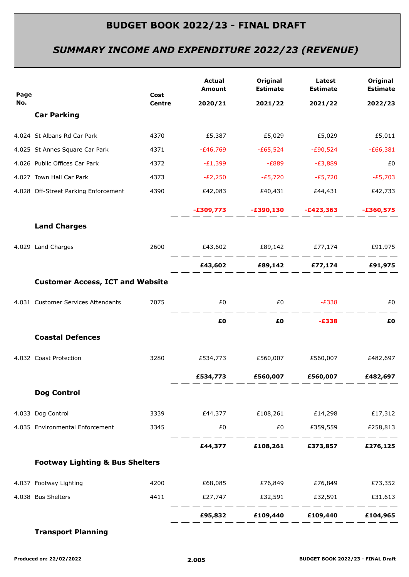# *SUMMARY INCOME AND EXPENDITURE 2022/23 (REVENUE)*

| Page |                                            | Cost          | Actual<br>Amount                                 | Original<br><b>Estimate</b> | Latest<br><b>Estimate</b>           | Original<br><b>Estimate</b> |
|------|--------------------------------------------|---------------|--------------------------------------------------|-----------------------------|-------------------------------------|-----------------------------|
| No.  |                                            | <b>Centre</b> | 2020/21                                          | 2021/22                     | 2021/22                             | 2022/23                     |
|      | <b>Car Parking</b>                         |               |                                                  |                             |                                     |                             |
|      | 4.024 St Albans Rd Car Park                | 4370          |                                                  |                             |                                     |                             |
|      | 4.025 St Annes Square Car Park             | 4371          | -£46,769                                         | -£65,524                    | $-E90,524$                          | $-E66,381$                  |
|      | 4.026 Public Offices Car Park              | 4372          | -£1,399                                          |                             | -£889 -£3,889                       | £0                          |
|      | 4.027 Town Hall Car Park                   | 4373          | $-E2,250$                                        |                             | $-E5,720$ $-E5,720$ $-E5,703$       |                             |
|      | 4.028 Off-Street Parking Enforcement       | 4390          | £42,083    £40,431    £44,431                    |                             |                                     | £42,733                     |
|      |                                            |               |                                                  |                             |                                     |                             |
|      | <b>Land Charges</b>                        |               |                                                  |                             |                                     |                             |
|      | 4.029 Land Charges                         | 2600          |                                                  |                             |                                     |                             |
|      |                                            |               |                                                  |                             | £43,602 £89,142 £77,174 £91,975     |                             |
|      | <b>Customer Access, ICT and Website</b>    |               |                                                  |                             |                                     |                             |
|      | 4.031 Customer Services Attendants         | 7075          | £0                                               |                             | $£0$ $-£338$                        | £0                          |
|      |                                            |               |                                                  |                             |                                     | £Ο                          |
|      | <b>Coastal Defences</b>                    |               |                                                  |                             |                                     |                             |
|      | 4.032 Coast Protection                     |               | 3280   £534,773   £560,007   £560,007   £482,697 |                             |                                     |                             |
|      |                                            |               |                                                  |                             | £534,773 £560,007 £560,007 £482,697 |                             |
|      | <b>Dog Control</b>                         |               |                                                  |                             |                                     |                             |
|      | 4.033 Dog Control                          |               |                                                  |                             |                                     |                             |
|      | 4.035 Environmental Enforcement            | 3345          |                                                  |                             |                                     |                             |
|      |                                            |               |                                                  |                             | £44,377 £108,261 £373,857 £276,125  |                             |
|      | <b>Footway Lighting &amp; Bus Shelters</b> |               |                                                  |                             |                                     |                             |
|      | 4.037 Footway Lighting                     | 4200          | £68,085   £76,849   £76,849   £73,352            |                             |                                     |                             |
|      | 4.038 Bus Shelters                         | 4411          |                                                  |                             |                                     |                             |
|      |                                            |               |                                                  |                             | £95,832 £109,440 £109,440 £104,965  |                             |
|      |                                            |               |                                                  |                             |                                     |                             |

### **Transport Planning**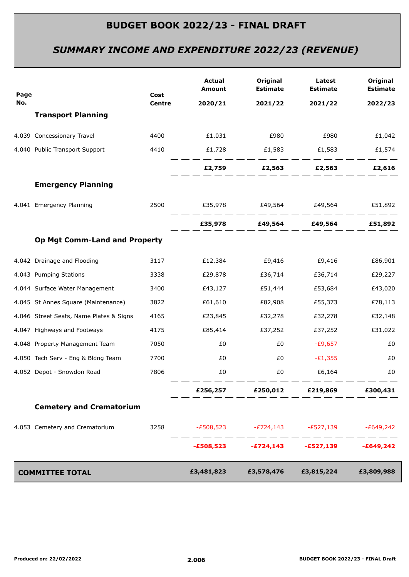# *SUMMARY INCOME AND EXPENDITURE 2022/23 (REVENUE)*

| Page |                                         | Cost<br><b>Centre</b> | <b>Actual</b><br>Amount | Original<br><b>Estimate</b> | Latest<br><b>Estimate</b>                       | Original<br><b>Estimate</b> |
|------|-----------------------------------------|-----------------------|-------------------------|-----------------------------|-------------------------------------------------|-----------------------------|
| No.  |                                         |                       | 2020/21                 | 2021/22                     | 2021/22                                         | 2022/23                     |
|      | <b>Transport Planning</b>               |                       |                         |                             |                                                 |                             |
|      | 4.039 Concessionary Travel              | 4400                  | £1,031                  | £980                        | £980                                            | £1,042                      |
|      | 4.040 Public Transport Support          | 4410                  | £1,728                  | £1,583                      | £1,583                                          | £1,574                      |
|      |                                         |                       |                         |                             | $E2,759$ $E2,563$ $E2,563$                      | £2,616                      |
|      | <b>Emergency Planning</b>               |                       |                         |                             |                                                 |                             |
|      | 4.041 Emergency Planning                | 2500                  |                         |                             |                                                 |                             |
|      |                                         |                       |                         |                             | £35,978   £49,564   £49,564   £51,892           |                             |
|      | <b>Op Mgt Comm-Land and Property</b>    |                       |                         |                             |                                                 |                             |
|      | 4.042 Drainage and Flooding             | 3117                  | £12,384                 | £9,416                      | £9,416                                          | £86,901                     |
|      | 4.043 Pumping Stations                  | 3338                  | £29,878                 | £36,714                     | £36,714                                         | £29,227                     |
|      | 4.044 Surface Water Management          | 3400                  | £43,127                 | £51,444                     | £53,684                                         | £43,020                     |
|      | 4.045 St Annes Square (Maintenance)     | 3822                  | £61,610                 | £82,908                     | £55,373                                         | £78,113                     |
|      | 4.046 Street Seats, Name Plates & Signs | 4165                  | £23,845                 | £32,278                     | £32,278                                         | £32,148                     |
|      | 4.047 Highways and Footways             | 4175                  | £85,414                 | £37,252                     | £37,252                                         | £31,022                     |
|      | 4.048 Property Management Team          | 7050                  | £0                      | £0                          | -£9,657                                         | £0                          |
|      | 4.050 Tech Serv - Eng & Bldng Team      | 7700                  | £0                      | £0                          | $-E1,355$                                       | £0                          |
|      | 4.052 Depot - Snowdon Road              | 7806                  | £0                      | £0                          | £6,164                                          | £0                          |
|      |                                         |                       | £256,257                | £250,012                    | £219,869                                        | £300,431                    |
|      | <b>Cemetery and Crematorium</b>         |                       |                         |                             |                                                 |                             |
|      | 4.053 Cemetery and Crematorium          | 3258                  |                         |                             | $-E508,523$ $-E724,143$ $-E527,139$ $-E649,242$ |                             |
|      |                                         |                       |                         |                             | $-E508,523$ $-E724,143$ $-E527,139$             | $-£649,242$                 |
|      | <b>COMMITTEE TOTAL</b>                  |                       | £3,481,823              | £3,578,476                  | £3,815,224                                      | £3,809,988                  |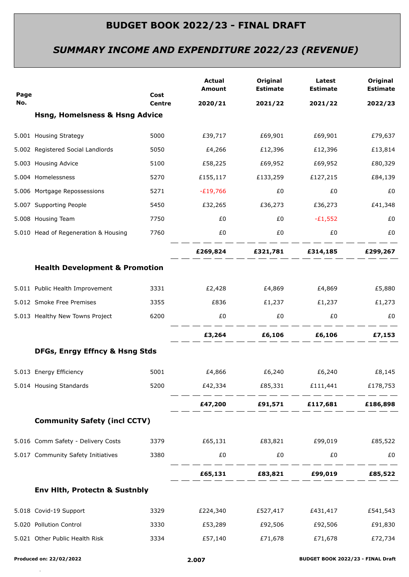# *SUMMARY INCOME AND EXPENDITURE 2022/23 (REVENUE)*

| Page |                                           | Cost          | <b>Actual</b><br>Amount | Original<br><b>Estimate</b> | Latest<br><b>Estimate</b>           | Original<br><b>Estimate</b> |
|------|-------------------------------------------|---------------|-------------------------|-----------------------------|-------------------------------------|-----------------------------|
| No.  |                                           | <b>Centre</b> | 2020/21                 | 2021/22                     | 2021/22                             | 2022/23                     |
|      | <b>Hsng, Homelsness &amp; Hsng Advice</b> |               |                         |                             |                                     |                             |
|      | 5.001 Housing Strategy                    | 5000          | £39,717                 |                             | £69,901 £69,901                     | £79,637                     |
|      | 5.002 Registered Social Landlords         | 5050          | £4,266                  | £12,396                     | £12,396                             | £13,814                     |
|      | 5.003 Housing Advice                      | 5100          | £58,225                 | £69,952                     | £69,952                             | £80,329                     |
|      | 5.004 Homelessness                        | 5270          |                         | £155,117 £133,259           | £127,215                            | £84,139                     |
|      | 5.006 Mortgage Repossessions              | 5271          | -£19,766                | £0                          | £0                                  | £0                          |
|      | 5.007 Supporting People                   | 5450          | £32,265                 | £36,273                     | £36,273                             | £41,348                     |
|      | 5.008 Housing Team                        | 7750          | £0                      | £0                          | $-E1,552$                           | £0                          |
|      | 5.010 Head of Regeneration & Housing      | 7760          | £0                      | £0                          | £0                                  | £0                          |
|      |                                           |               |                         |                             | £269,824 £321,781 £314,185 £299,267 |                             |
|      | <b>Health Development &amp; Promotion</b> |               |                         |                             |                                     |                             |
|      | 5.011 Public Health Improvement           | 3331          | £2,428                  | £4,869                      | £4,869                              | £5,880                      |
|      | 5.012 Smoke Free Premises                 | 3355          | £836                    | £1,237                      | £1,237                              | £1,273                      |
|      | 5.013 Healthy New Towns Project           | 6200          | £0                      | £0                          | £0                                  | £0                          |
|      |                                           |               |                         |                             |                                     |                             |
|      | DFGs, Enrgy Effncy & Hsng Stds            |               |                         |                             |                                     |                             |
|      | 5.013 Energy Efficiency                   | 5001          | £4,866                  | £6,240                      | £6,240                              | £8,145                      |
|      | 5.014 Housing Standards                   | 5200          |                         |                             |                                     | £178,753                    |
|      |                                           |               |                         |                             | £47,200 £91,571 £117,681 £186,898   |                             |
|      | <b>Community Safety (incl CCTV)</b>       |               |                         |                             |                                     |                             |
|      | 5.016 Comm Safety - Delivery Costs        | 3379          |                         |                             |                                     |                             |
|      | 5.017 Community Safety Initiatives        | 3380          | £0                      | £0                          | £0                                  | £0                          |
|      |                                           |               |                         |                             | £65,131 £83,821 £99,019 £85,522     |                             |
|      |                                           |               |                         |                             |                                     |                             |
|      | Env Hith, Protectn & Sustnbly             |               |                         |                             |                                     |                             |
|      | 5.018 Covid-19 Support                    | 3329          |                         |                             |                                     | £541,543                    |
|      | 5.020 Pollution Control                   | 3330          | £53,289                 |                             | £92,506 £92,506                     | £91,830                     |
|      | 5.021 Other Public Health Risk            | 3334          | £57,140                 | £71,678                     | £71,678                             | £72,734                     |
|      |                                           |               |                         |                             |                                     |                             |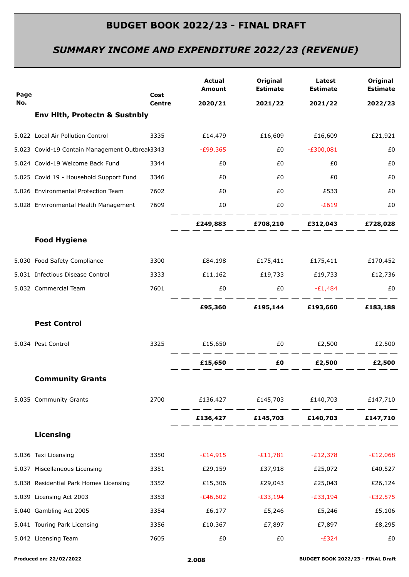# *SUMMARY INCOME AND EXPENDITURE 2022/23 (REVENUE)*

| Page |                                                | Cost          | <b>Actual</b><br>Amount                                                                                        | Original<br><b>Estimate</b> | Latest<br><b>Estimate</b>                                                                                                                                  | Original<br><b>Estimate</b> |
|------|------------------------------------------------|---------------|----------------------------------------------------------------------------------------------------------------|-----------------------------|------------------------------------------------------------------------------------------------------------------------------------------------------------|-----------------------------|
| No.  |                                                | <b>Centre</b> | 2020/21                                                                                                        | 2021/22                     | 2021/22                                                                                                                                                    | 2022/23                     |
|      | <b>Env Hith, Protectn &amp; Sustnbly</b>       |               |                                                                                                                |                             |                                                                                                                                                            |                             |
|      | 5.022 Local Air Pollution Control              | 3335          | £14,479                                                                                                        | £16,609                     | £16,609                                                                                                                                                    | £21,921                     |
|      | 5.023 Covid-19 Contain Management Outbreak3343 |               | -£99,365                                                                                                       | £0                          | $-E300,081$                                                                                                                                                | £0                          |
|      | 5.024 Covid-19 Welcome Back Fund               | 3344          | £0                                                                                                             | £0                          | £0                                                                                                                                                         | £0                          |
|      | 5.025 Covid 19 - Household Support Fund        | 3346          | £0                                                                                                             | £0                          | £0                                                                                                                                                         | £0                          |
|      | 5.026 Environmental Protection Team            | 7602          | £0                                                                                                             | £0                          | £533                                                                                                                                                       | £0                          |
|      | 5.028 Environmental Health Management          | 7609          | £0                                                                                                             | £0                          | $-E619$                                                                                                                                                    | £0                          |
|      |                                                |               |                                                                                                                |                             | £249,883 £708,210 £312,043 £728,028                                                                                                                        |                             |
|      | <b>Food Hygiene</b>                            |               |                                                                                                                |                             |                                                                                                                                                            |                             |
|      | 5.030 Food Safety Compliance                   | 3300          | £84,198   £175,411   £175,411   £170,452                                                                       |                             |                                                                                                                                                            |                             |
|      | 5.031 Infectious Disease Control               | 3333          |                                                                                                                |                             |                                                                                                                                                            |                             |
|      | 5.032 Commercial Team                          | 7601          | £0                                                                                                             | £0                          | $-E1,484$                                                                                                                                                  | £0                          |
|      |                                                |               |                                                                                                                |                             | <u> 2002 - 2002 - 2003 - 2003 - 2003 - 2003 - 2003 - 2003 - 2003 - 2003 - 2003 - 2003 - 2003 - 2003 - 2003 - 200</u><br>£95,360 £195,144 £193,660 £183,188 |                             |
|      | <b>Pest Control</b>                            |               |                                                                                                                |                             |                                                                                                                                                            |                             |
|      | 5.034 Pest Control                             | 3325          | $£15,650$ $£0$ $£2,500$ $£2,500$                                                                               |                             |                                                                                                                                                            |                             |
|      |                                                |               | £15,650 and the set of the set of the set of the set of the set of the set of the set of the set of the set of | __ _ _ _ _ _ _ _ _ _ _ _    | £0   £2,500   £2,500                                                                                                                                       |                             |
|      | <b>Community Grants</b>                        |               |                                                                                                                |                             |                                                                                                                                                            |                             |
|      | 5.035 Community Grants                         | 2700          |                                                                                                                |                             | £136,427   £145,703   £140,703   £147,710                                                                                                                  |                             |
|      |                                                |               |                                                                                                                |                             | £136,427 £145,703 £140,703                                                                                                                                 | £147,710                    |
|      | Licensing                                      |               |                                                                                                                |                             |                                                                                                                                                            |                             |
|      | 5.036 Taxi Licensing                           | 3350          | $-E14,915$                                                                                                     | $-E11,781$                  | $-E12,378$                                                                                                                                                 | $-E12,068$                  |
|      | 5.037 Miscellaneous Licensing                  | 3351          | £29,159                                                                                                        | £37,918                     | £25,072                                                                                                                                                    | £40,527                     |
|      | 5.038 Residential Park Homes Licensing         | 3352          | £15,306                                                                                                        | £29,043                     | £25,043                                                                                                                                                    | £26,124                     |
|      | 5.039 Licensing Act 2003                       | 3353          | $-£46,602$                                                                                                     | -£33,194                    | -£33,194                                                                                                                                                   | $-E32,575$                  |
|      | 5.040 Gambling Act 2005                        | 3354          | £6,177                                                                                                         | £5,246                      | £5,246                                                                                                                                                     | £5,106                      |
|      | 5.041 Touring Park Licensing                   | 3356          | £10,367                                                                                                        | £7,897                      | £7,897                                                                                                                                                     | £8,295                      |
|      | 5.042 Licensing Team                           | 7605          | £0                                                                                                             | £0                          | $-E324$                                                                                                                                                    | £0                          |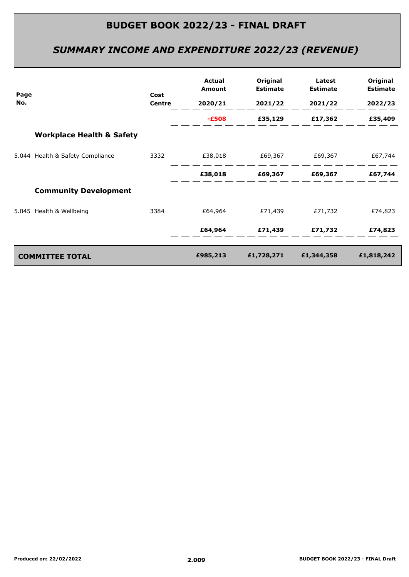# *SUMMARY INCOME AND EXPENDITURE 2022/23 (REVENUE)*

| Page |                                      | Cost          | Actual<br>Amount | Original<br><b>Estimate</b> | Latest<br><b>Estimate</b>   | Original<br><b>Estimate</b> |
|------|--------------------------------------|---------------|------------------|-----------------------------|-----------------------------|-----------------------------|
| No.  |                                      | <b>Centre</b> | 2020/21          | 2021/22                     | 2021/22                     | 2022/23                     |
|      |                                      |               | $-E508$          |                             | £35,129 £17,362             | £35,409                     |
|      | <b>Workplace Health &amp; Safety</b> |               |                  |                             |                             |                             |
|      | 5.044 Health & Safety Compliance     | 3332          |                  |                             |                             | £67,744                     |
|      |                                      |               | £38,018          |                             |                             | £67,744                     |
|      | <b>Community Development</b>         |               |                  |                             |                             |                             |
|      | 5.045 Health & Wellbeing             | 3384          |                  |                             | £64,964   £71,439   £71,732 | £74,823                     |
|      |                                      |               | £64,964          |                             | £71,439 £71,732             | £74,823                     |
|      | <b>COMMITTEE TOTAL</b>               |               | £985,213         | £1,728,271                  | £1,344,358                  | £1,818,242                  |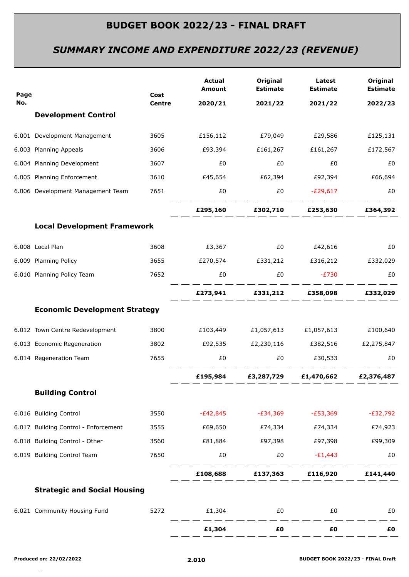# *SUMMARY INCOME AND EXPENDITURE 2022/23 (REVENUE)*

| Page |                                      | Cost   | <b>Actual</b><br><b>Amount</b> | Original<br><b>Estimate</b>                             | Latest<br><b>Estimate</b> | Original<br><b>Estimate</b> |
|------|--------------------------------------|--------|--------------------------------|---------------------------------------------------------|---------------------------|-----------------------------|
| No.  |                                      | Centre | 2020/21                        | 2021/22                                                 | 2021/22                   | 2022/23                     |
|      | <b>Development Control</b>           |        |                                |                                                         |                           |                             |
|      | 6.001 Development Management         | 3605   |                                |                                                         |                           | £125,131                    |
|      | 6.003 Planning Appeals               | 3606   | £93,394                        | £161,267                                                | £161,267                  | £172,567                    |
|      | 6.004 Planning Development           | 3607   | £0                             | £0                                                      | £0                        | £0                          |
|      | 6.005 Planning Enforcement           | 3610   |                                | £45,654   £62,394   £92,394   £66,694                   |                           |                             |
|      | 6.006 Development Management Team    | 7651   | £0                             | £0                                                      | $-E29,617$                | £0                          |
|      |                                      |        |                                | £295,160 £302,710 £253,630 £364,392                     |                           |                             |
|      | <b>Local Development Framework</b>   |        |                                |                                                         |                           |                             |
|      | 6.008 Local Plan                     | 3608   | £3,367                         |                                                         |                           | £0                          |
|      | 6.009 Planning Policy                |        |                                | 3655 £270,574 £331,212 £316,212 £332,029                |                           |                             |
|      | 6.010 Planning Policy Team           | 7652   | £0                             | £0                                                      | $-E730$                   | £0                          |
|      |                                      |        |                                | £273,941 £331,212 £358,098 £332,029                     |                           |                             |
|      | <b>Economic Development Strategy</b> |        |                                |                                                         |                           |                             |
|      | 6.012 Town Centre Redevelopment      |        |                                | 3800 £103,449 £1,057,613 £1,057,613 £100,640            |                           |                             |
|      | 6.013 Economic Regeneration          |        |                                | 3802    £92,535    £2,230,116    £382,516    £2,275,847 |                           |                             |
|      | 6.014 Regeneration Team              | 7655   | £0                             | £0                                                      | £30,533                   | £0                          |
|      |                                      |        |                                | £195,984 £3,287,729 £1,470,662 £2,376,487               |                           |                             |
|      | <b>Building Control</b>              |        |                                |                                                         |                           |                             |
|      | 6.016 Building Control               | 3550   | $-E42,845$                     | $-E34,369$                                              | $-E53,369$                | $-E32,792$                  |
|      | 6.017 Building Control - Enforcement | 3555   | £69,650                        | £74,334                                                 | £74,334                   | £74,923                     |
|      | 6.018 Building Control - Other       | 3560   | £81,884                        | £97,398                                                 | £97,398                   | £99,309                     |
|      | 6.019 Building Control Team          | 7650   | £0                             | £0                                                      | $-E1,443$                 | £0                          |
|      |                                      |        | £108,688                       | £137,363                                                | £116,920                  | £141,440                    |
|      | <b>Strategic and Social Housing</b>  |        |                                |                                                         |                           |                             |
|      | 6.021 Community Housing Fund         | 5272   | £1,304                         | $E_0$                                                   | £0                        | £0                          |
|      |                                      |        | £1,304                         | £0                                                      | £Ο                        | £Ο                          |
|      |                                      |        |                                |                                                         |                           |                             |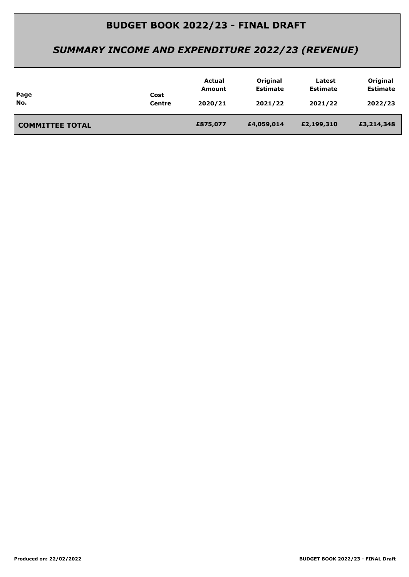# *SUMMARY INCOME AND EXPENDITURE 2022/23 (REVENUE)*

| Page<br>No.            | Cost<br>Centre | Actual<br>Amount<br>2020/21 | Original<br><b>Estimate</b><br>2021/22 | Latest<br><b>Estimate</b><br>2021/22 | Original<br><b>Estimate</b><br>2022/23 |
|------------------------|----------------|-----------------------------|----------------------------------------|--------------------------------------|----------------------------------------|
| <b>COMMITTEE TOTAL</b> |                | £875,077                    | £4,059,014                             | £2,199,310                           | £3,214,348                             |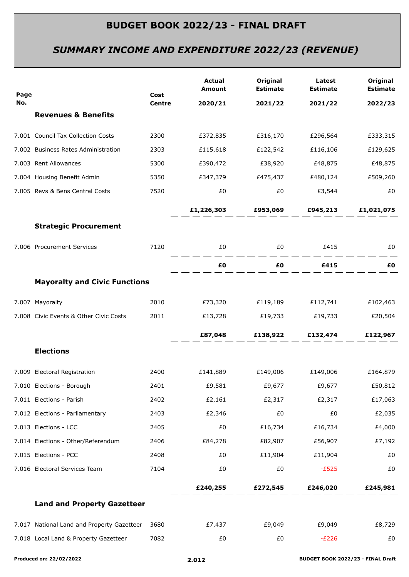# *SUMMARY INCOME AND EXPENDITURE 2022/23 (REVENUE)*

| Page |                                            | Cost          | <b>Actual</b><br>Amount            | Original<br><b>Estimate</b>                                    | Latest<br><b>Estimate</b> | Original<br><b>Estimate</b> |
|------|--------------------------------------------|---------------|------------------------------------|----------------------------------------------------------------|---------------------------|-----------------------------|
| No.  |                                            | <b>Centre</b> | 2020/21                            | 2021/22                                                        | 2021/22                   | 2022/23                     |
|      | <b>Revenues &amp; Benefits</b>             |               |                                    |                                                                |                           |                             |
|      | 7.001 Council Tax Collection Costs         | 2300          |                                    | £372,835   £316,170   £296,564                                 |                           | £333,315                    |
|      | 7.002 Business Rates Administration        | 2303          | £115,618                           | £122,542                                                       | £116,106                  | £129,625                    |
|      | 7.003 Rent Allowances                      | 5300          | £390,472                           | £38,920                                                        | £48,875                   | £48,875                     |
|      | 7.004 Housing Benefit Admin                | 5350          |                                    | £347,379    £475,437    £480,124                               |                           | £509,260                    |
|      | 7.005 Revs & Bens Central Costs            | 7520          | £0                                 | £0                                                             | £3,544                    | £0                          |
|      |                                            |               |                                    | _ _ _ _ _ _ _ _ _ _<br>£1,226,303 £953,069 £945,213 £1,021,075 |                           |                             |
|      | <b>Strategic Procurement</b>               |               |                                    |                                                                |                           |                             |
|      | 7.006 Procurement Services                 | 7120          | £0                                 | £0 £415                                                        |                           | £0                          |
|      |                                            |               | £Ο                                 | £O                                                             | £415                      | £Ο                          |
|      | <b>Mayoralty and Civic Functions</b>       |               |                                    |                                                                |                           |                             |
|      | 7.007 Mayoralty                            | 2010          | £73,320 £119,189 £112,741 £102,463 |                                                                |                           |                             |
|      | 7.008 Civic Events & Other Civic Costs     | 2011          |                                    |                                                                |                           |                             |
|      |                                            |               |                                    | £87,048 £138,922 £132,474 £122,967                             |                           |                             |
|      | <b>Elections</b>                           |               |                                    |                                                                |                           |                             |
|      | 7.009 Electoral Registration               | 2400          | £141,889                           | £149,006 £149,006                                              |                           | £164,879                    |
|      | 7.010 Elections - Borough                  | 2401          | £9,581                             | £9,677                                                         | £9,677                    | £50,812                     |
|      | 7.011 Elections - Parish                   | 2402          | £2,161                             | £2,317                                                         | £2,317                    | £17,063                     |
|      | 7.012 Elections - Parliamentary            | 2403          | £2,346                             | £0                                                             | £0                        | £2,035                      |
|      | 7.013 Elections - LCC                      | 2405          | £0                                 | £16,734                                                        | £16,734                   | £4,000                      |
|      | 7.014 Elections - Other/Referendum         | 2406          | £84,278                            | £82,907                                                        | £56,907                   | £7,192                      |
|      | 7.015 Elections - PCC                      | 2408          | £0                                 | £11,904                                                        | £11,904                   | £0                          |
|      | 7.016 Electoral Services Team              | 7104          | £0                                 | £0                                                             | $-E525$                   | £0                          |
|      |                                            |               | £240,255                           | £272,545                                                       | £246,020                  | £245,981                    |
|      | <b>Land and Property Gazetteer</b>         |               |                                    |                                                                |                           |                             |
|      | 7.017 National Land and Property Gazetteer | 3680          | £7,437                             | £9,049                                                         | £9,049                    | £8,729                      |
|      | 7.018 Local Land & Property Gazetteer      | 7082          | £0                                 | £0                                                             | $-E226$                   | £0                          |
|      |                                            |               |                                    |                                                                |                           |                             |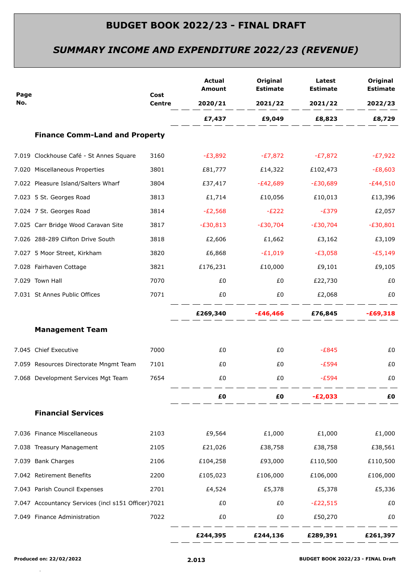# *SUMMARY INCOME AND EXPENDITURE 2022/23 (REVENUE)*

|             |                                                     | Cost<br><b>Centre</b> | <b>Actual</b><br>Amount | Original<br><b>Estimate</b> | Latest<br><b>Estimate</b> | Original<br><b>Estimate</b> |
|-------------|-----------------------------------------------------|-----------------------|-------------------------|-----------------------------|---------------------------|-----------------------------|
| Page<br>No. |                                                     |                       | 2020/21                 | 2021/22                     | 2021/22                   | 2022/23                     |
|             |                                                     |                       |                         | £7,437 £9,049               | £8,823                    | £8,729                      |
|             | <b>Finance Comm-Land and Property</b>               |                       |                         |                             |                           |                             |
|             | 7.019 Clockhouse Café - St Annes Square             | 3160                  | -£3,892                 |                             | $-E7,872$ $-E7,872$       | -£7,922                     |
|             | 7.020 Miscellaneous Properties                      | 3801                  | £81,777                 | £14,322                     | £102,473                  | $-E8,603$                   |
|             | 7.022 Pleasure Island/Salters Wharf                 | 3804                  | £37,417                 | -£42,689                    | -£30,689                  | $-£44,510$                  |
|             | 7.023 5 St. Georges Road                            | 3813                  | £1,714                  | £10,056                     | £10,013                   | £13,396                     |
|             | 7.024 7 St. Georges Road                            | 3814                  | $-E2,568$               | $-E222$                     | $-E379$                   | £2,057                      |
|             | 7.025 Carr Bridge Wood Caravan Site                 | 3817                  | -£30,813                | $-E30,704$                  | $-E30,704$                | $-E30,801$                  |
|             | 7.026 288-289 Clifton Drive South                   | 3818                  | £2,606                  | £1,662                      | £3,162                    | £3,109                      |
|             | 7.027 5 Moor Street, Kirkham                        | 3820                  | £6,868                  | $-E1,019$                   | $-E3,058$                 | $-E5,149$                   |
|             | 7.028 Fairhaven Cottage                             | 3821                  | £176,231                | £10,000                     | £9,101                    | £9,105                      |
|             | 7.029 Town Hall                                     | 7070                  | £0                      | £0                          | £22,730                   | £0                          |
|             | 7.031 St Annes Public Offices                       | 7071                  | £0                      | £0                          | £2,068                    | £0                          |
|             |                                                     |                       |                         |                             | £269,340 -£46,466 £76,845 | $-£69,318$                  |
|             | <b>Management Team</b>                              |                       |                         |                             |                           |                             |
|             | 7.045 Chief Executive                               | 7000                  | £0                      | £0                          | $-E845$                   | £0                          |
|             | 7.059 Resources Directorate Mngmt Team              | 7101                  | £0                      | £0                          | $-E594$                   | £0                          |
|             | 7.068 Development Services Mgt Team                 | 7654                  | £0                      | £0                          | $-E594$                   | £0                          |
|             |                                                     |                       | £Ο                      | £0                          | $-E2,033$                 | £0                          |
|             | <b>Financial Services</b>                           |                       |                         |                             |                           |                             |
|             | 7.036 Finance Miscellaneous                         | 2103                  | £9,564                  | £1,000                      | £1,000                    | £1,000                      |
|             | 7.038 Treasury Management                           | 2105                  | £21,026                 | £38,758                     | £38,758                   | £38,561                     |
|             | 7.039 Bank Charges                                  | 2106                  | £104,258                | £93,000                     | £110,500                  | £110,500                    |
|             | 7.042 Retirement Benefits                           | 2200                  | £105,023                | £106,000                    | £106,000                  | £106,000                    |
|             | 7.043 Parish Council Expenses                       | 2701                  | £4,524                  | £5,378                      | £5,378                    | £5,336                      |
|             | 7.047 Accountancy Services (incl s151 Officer) 7021 |                       | £0                      | £0                          | $-E22,515$                | £0                          |
|             | 7.049 Finance Administration                        | 7022                  | £0                      | £0                          | £50,270                   | £0                          |
|             |                                                     |                       | £244,395                | £244,136                    | £289,391                  | £261,397                    |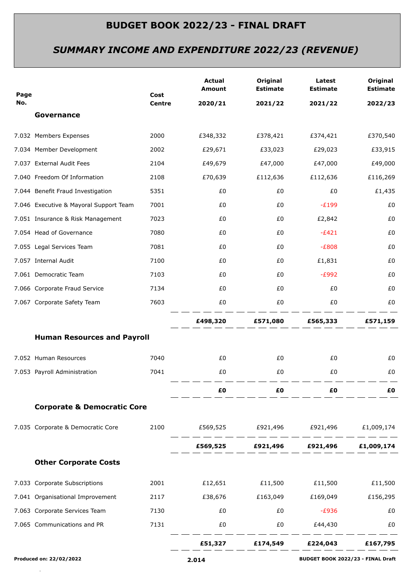# *SUMMARY INCOME AND EXPENDITURE 2022/23 (REVENUE)*

|                         |                                        |               | <b>Actual</b>                              | Original                              | Latest                            | Original        |
|-------------------------|----------------------------------------|---------------|--------------------------------------------|---------------------------------------|-----------------------------------|-----------------|
| Page                    |                                        | Cost          | <b>Amount</b>                              | <b>Estimate</b>                       | <b>Estimate</b>                   | <b>Estimate</b> |
| No.                     | Governance                             | <b>Centre</b> | 2020/21                                    | 2021/22                               | 2021/22                           | 2022/23         |
|                         |                                        |               |                                            |                                       |                                   |                 |
|                         | 7.032 Members Expenses                 | 2000          | £348,332                                   | £378,421                              | £374,421                          | £370,540        |
|                         | 7.034 Member Development               | 2002          | £29,671                                    | £33,023                               | £29,023                           | £33,915         |
|                         | 7.037 External Audit Fees              | 2104          | £49,679                                    | £47,000                               | £47,000                           | £49,000         |
|                         | 7.040 Freedom Of Information           | 2108          | £70,639                                    | £112,636                              | £112,636                          | £116,269        |
|                         | 7.044 Benefit Fraud Investigation      | 5351          | £0                                         | £0                                    | £0                                | £1,435          |
|                         | 7.046 Executive & Mayoral Support Team | 7001          | £0                                         | £0                                    | $-E199$                           | £0              |
|                         | 7.051 Insurance & Risk Management      | 7023          | £0                                         | £0                                    | £2,842                            | £0              |
|                         | 7.054 Head of Governance               | 7080          | £0                                         | £0                                    | $-E421$                           | £0              |
|                         | 7.055 Legal Services Team              | 7081          | £0                                         | £0                                    | $-E808$                           | £0              |
|                         | 7.057 Internal Audit                   | 7100          | £0                                         | £0                                    | £1,831                            | £0              |
|                         | 7.061 Democratic Team                  | 7103          | £0                                         | £0                                    | $-E992$                           | £0              |
|                         | 7.066 Corporate Fraud Service          | 7134          | £0                                         | £0                                    | £0                                | £0              |
|                         | 7.067 Corporate Safety Team            | 7603          | £0                                         | £0                                    | £0                                | £0              |
|                         |                                        |               |                                            | £498,320 £571,080 £565,333            |                                   | £571,159        |
|                         | <b>Human Resources and Payroll</b>     |               |                                            |                                       |                                   |                 |
|                         | 7.052 Human Resources                  | 7040          | £0                                         | £0                                    | £0                                | £0              |
|                         | 7.053 Payroll Administration           | 7041          | £0                                         | £0                                    | £0                                | £0              |
|                         |                                        |               |                                            |                                       |                                   |                 |
|                         |                                        |               | £Ο                                         | £Ο                                    | £Ο                                | £Ο              |
|                         | <b>Corporate &amp; Democratic Core</b> |               |                                            |                                       |                                   |                 |
|                         | 7.035 Corporate & Democratic Core      |               | 2100 £569,525 £921,496 £921,496 £1,009,174 |                                       |                                   |                 |
|                         |                                        |               |                                            | £569,525 £921,496 £921,496 £1,009,174 |                                   |                 |
|                         | <b>Other Corporate Costs</b>           |               |                                            |                                       |                                   |                 |
|                         | 7.033 Corporate Subscriptions          |               |                                            |                                       |                                   |                 |
|                         | 7.041 Organisational Improvement       | 2117          | £38,676                                    | £163,049                              | £169,049                          | £156,295        |
|                         | 7.063 Corporate Services Team          | 7130          | £0                                         | £0                                    | $-E936$                           | £0              |
|                         | 7.065 Communications and PR            | 7131          | £0                                         | £0                                    | £44,430                           | £0              |
|                         |                                        |               |                                            | £51,327 £174,549 £224,043 £167,795    |                                   |                 |
| Produced on: 22/02/2022 |                                        |               | 2.014                                      |                                       | BUDGET BOOK 2022/23 - FINAL Draft |                 |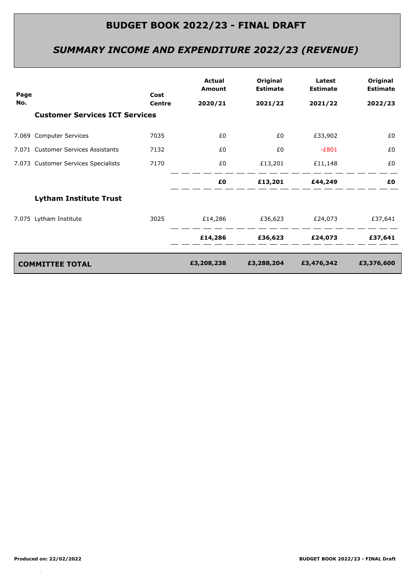# *SUMMARY INCOME AND EXPENDITURE 2022/23 (REVENUE)*

| Page |                                       | Cost<br><b>Centre</b> | <b>Actual</b><br>Amount | Original<br><b>Estimate</b> | Latest<br><b>Estimate</b> | Original<br><b>Estimate</b> |
|------|---------------------------------------|-----------------------|-------------------------|-----------------------------|---------------------------|-----------------------------|
| No.  |                                       |                       | 2020/21                 | 2021/22                     | 2021/22                   | 2022/23                     |
|      | <b>Customer Services ICT Services</b> |                       |                         |                             |                           |                             |
|      | 7.069 Computer Services               | 7035                  | £0                      | £0                          | £33,902                   | £0                          |
|      | 7.071 Customer Services Assistants    | 7132                  | £0                      | £0                          | $-E801$                   | £0                          |
|      | 7.073 Customer Services Specialists   | 7170                  | £0                      | £13,201                     | £11,148                   | £0                          |
|      |                                       |                       | £Ο                      |                             | £13,201 £44,249           | £Ο                          |
|      | <b>Lytham Institute Trust</b>         |                       |                         |                             |                           |                             |
|      | 7.075 Lytham Institute                | 3025                  | £14,286                 | £36,623 £24,073             |                           | £37,641                     |
|      |                                       |                       | £14,286                 | £36,623                     | £24,073                   | £37,641                     |
|      | <b>COMMITTEE TOTAL</b>                |                       | £3,208,238              | £3,288,204                  | £3,476,342                | £3,376,600                  |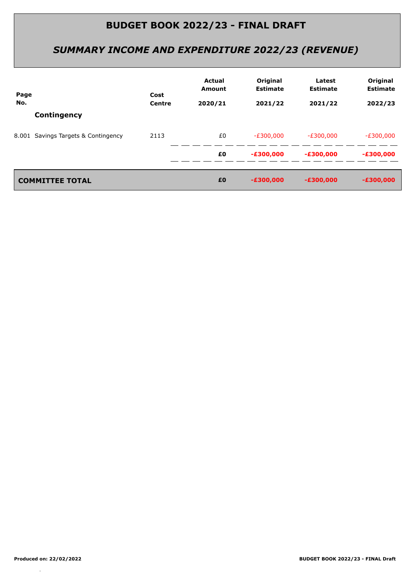# *SUMMARY INCOME AND EXPENDITURE 2022/23 (REVENUE)*

| Page | Cost                                | <b>Actual</b><br><b>Amount</b> | Original<br><b>Estimate</b> | Latest<br><b>Estimate</b> | Original<br><b>Estimate</b> |             |
|------|-------------------------------------|--------------------------------|-----------------------------|---------------------------|-----------------------------|-------------|
| No.  |                                     | <b>Centre</b>                  | 2020/21                     | 2021/22                   | 2021/22                     | 2022/23     |
|      | Contingency                         |                                |                             |                           |                             |             |
|      | 8.001 Savings Targets & Contingency | 2113                           | £0                          | $-E300,000$               | $-E300,000$                 | $-E300,000$ |
|      |                                     |                                | £0                          | $-E300,000$               | $-£300,000$                 | $-£300,000$ |
|      |                                     |                                |                             |                           |                             |             |
|      | <b>COMMITTEE TOTAL</b>              |                                | £0                          | $-E300,000$               | $-£300,000$                 | $-£300,000$ |